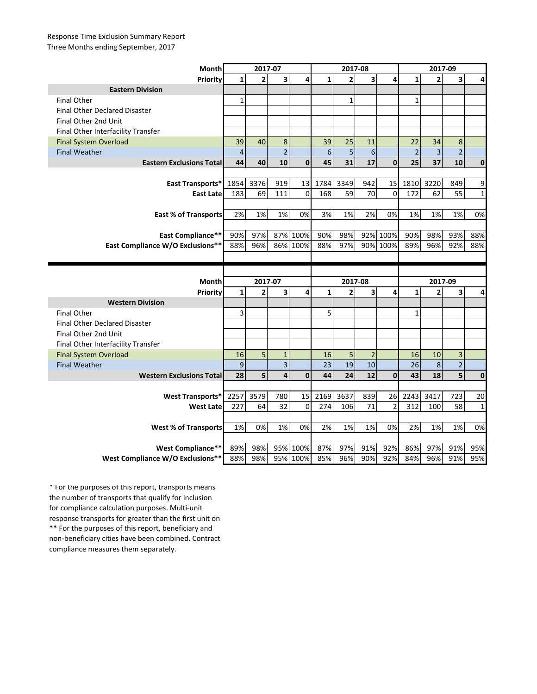## Response Time Exclusion Summary Report Three Months ending September, 2017

| Month                                | 2017-07                 |                |                         |                      | 2017-08      |                |                         |                | 2017-09        |                |                |              |
|--------------------------------------|-------------------------|----------------|-------------------------|----------------------|--------------|----------------|-------------------------|----------------|----------------|----------------|----------------|--------------|
| Priority                             | $\mathbf{1}$            | $\overline{2}$ | $\overline{\mathbf{3}}$ | 4                    | $\mathbf{1}$ | $\overline{2}$ | $\overline{\mathbf{3}}$ | 4              | $\mathbf{1}$   | $\overline{2}$ | 3              | 4            |
| <b>Eastern Division</b>              |                         |                |                         |                      |              |                |                         |                |                |                |                |              |
| <b>Final Other</b>                   | $\mathbf{1}$            |                |                         |                      |              | $\mathbf{1}$   |                         |                | $\mathbf{1}$   |                |                |              |
| <b>Final Other Declared Disaster</b> |                         |                |                         |                      |              |                |                         |                |                |                |                |              |
| Final Other 2nd Unit                 |                         |                |                         |                      |              |                |                         |                |                |                |                |              |
| Final Other Interfacility Transfer   |                         |                |                         |                      |              |                |                         |                |                |                |                |              |
| <b>Final System Overload</b>         | 39                      | 40             | 8                       |                      | 39           | 25             | 11                      |                | 22             | 34             | 8              |              |
| <b>Final Weather</b>                 | $\overline{\mathbf{4}}$ |                | $\overline{2}$          |                      | 6            | 5              | $6\phantom{a}$          |                | $\overline{2}$ | 3              | $\overline{c}$ |              |
| <b>Eastern Exclusions Total</b>      | 44                      | 40             | 10                      | $\mathbf{0}$         | 45           | 31             | 17                      | $\mathbf{0}$   | 25             | 37             | 10             | $\mathbf{0}$ |
|                                      |                         |                |                         |                      |              |                |                         |                |                |                |                |              |
| East Transports*                     | 1854                    | 3376           | 919                     | 13                   | 1784         | 3349           | 942                     | 15             | 1810           | 3220           | 849            | 9            |
| <b>East Late</b>                     | 183                     | 69             | 111                     | $\mathbf 0$          | 168          | 59             | 70                      | $\mathbf 0$    | 172            | 62             | 55             | $\mathbf{1}$ |
|                                      |                         |                |                         |                      |              |                |                         |                |                |                |                |              |
| <b>East % of Transports</b>          | 2%                      | 1%             | 1%                      | 0%                   | 3%           | 1%             | 2%                      | 0%             | 1%             | 1%             | 1%             | 0%           |
|                                      |                         |                |                         |                      |              |                |                         |                |                |                |                |              |
| <b>East Compliance**</b>             | 90%                     | 97%            |                         | 87% 100%             | 90%          | 98%            |                         | 92% 100%       | 90%            | 98%            | 93%            | 88%          |
| East Compliance W/O Exclusions**     | 88%                     | 96%            |                         | 86% 100%             | 88%          | 97%            |                         | 90% 100%       | 89%            | 96%            | 92%            | 88%          |
|                                      |                         |                |                         |                      |              |                |                         |                |                |                |                |              |
|                                      |                         |                |                         |                      |              |                |                         |                |                |                |                |              |
|                                      |                         |                |                         |                      |              |                |                         |                |                |                |                |              |
| Month                                |                         | 2017-07        |                         |                      |              | 2017-08        |                         |                |                | 2017-09        |                |              |
| Priority                             | $\mathbf{1}$            | $\overline{2}$ | 3                       | 4                    | $\mathbf{1}$ | $\overline{2}$ | 3                       | 4              | $\mathbf{1}$   | $\overline{2}$ | 3              | 4            |
| <b>Western Division</b>              |                         |                |                         |                      |              |                |                         |                |                |                |                |              |
| <b>Final Other</b>                   | 3                       |                |                         |                      | 5            |                |                         |                | $\mathbf{1}$   |                |                |              |
| <b>Final Other Declared Disaster</b> |                         |                |                         |                      |              |                |                         |                |                |                |                |              |
| Final Other 2nd Unit                 |                         |                |                         |                      |              |                |                         |                |                |                |                |              |
| Final Other Interfacility Transfer   |                         |                |                         |                      |              |                |                         |                |                |                |                |              |
| <b>Final System Overload</b>         | 16                      | 5              | $\mathbf{1}$            |                      | 16           | 5              | $\overline{2}$          |                | 16             | 10             | 3              |              |
| <b>Final Weather</b>                 | $\boldsymbol{9}$        |                | 3                       |                      | 23           | 19             | 10                      |                | 26             | $\bf 8$        | $\overline{2}$ |              |
| <b>Western Exclusions Total</b>      | 28                      | 5              | $\overline{\mathbf{4}}$ | $\mathbf 0$          | 44           | 24             | 12                      | $\mathbf 0$    | 43             | 18             |                | $\mathbf 0$  |
|                                      |                         |                |                         |                      |              |                |                         |                |                |                |                |              |
| <b>West Transports*</b>              | 2257                    | 3579           | 780                     | 15                   | 2169         | 3637           | 839                     | 26             | 2243           | 3417           | 723            | 20           |
| <b>West Late</b>                     | 227                     | 64             | 32                      | $\mathbf 0$          | 274          | 106            | 71                      | $\overline{2}$ | 312            | 100            | 58             | $\mathbf{1}$ |
|                                      |                         |                |                         |                      |              |                |                         |                |                |                |                |              |
| <b>West % of Transports</b>          | 1%                      | 0%             | 1%                      | 0%                   | 2%           | 1%             | 1%                      | 0%             | 2%             | 1%             | 1%             | 0%           |
|                                      |                         |                |                         |                      |              |                |                         |                |                |                |                |              |
| West Compliance**                    | 89%                     | 98%            |                         | 95% 100%<br>95% 100% | 87%          | 97%            | 91%                     | 92%            | 86%            | 97%            | 91%            | 95%          |

\*\* For the purposes of this report, beneficiary and non-beneficiary cities have been combined. Contract compliance measures them separately. \* For the purposes of this report, transports means the number of transports that qualify for inclusion for compliance calculation purposes. Multi-unit response transports for greater than the first unit on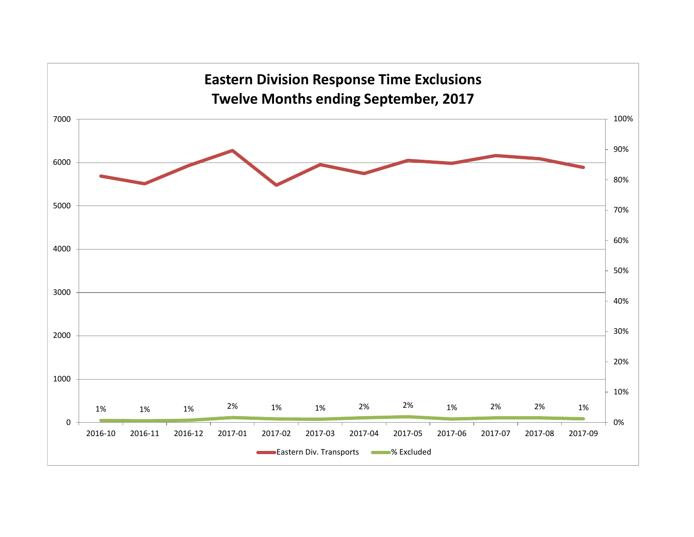